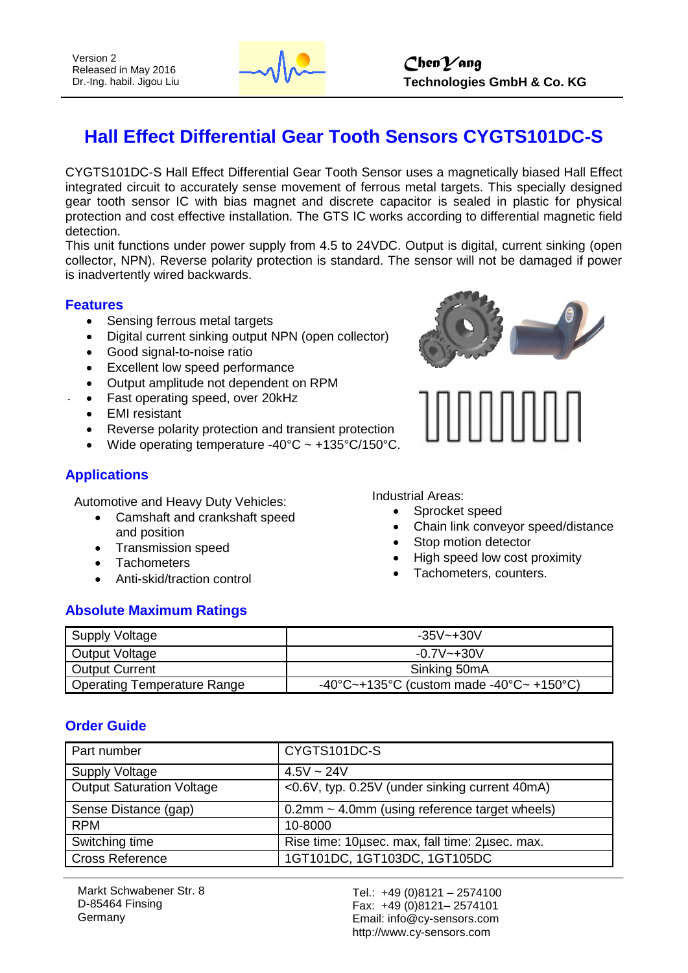

# **Hall Effect Differential Gear Tooth Sensors CYGTS101DC-S**

CYGTS101DC-S Hall Effect Differential Gear Tooth Sensor uses a magnetically biased Hall Effect integrated circuit to accurately sense movement of ferrous metal targets. This specially designed gear tooth sensor IC with bias magnet and discrete capacitor is sealed in plastic for physical protection and cost effective installation. The GTS IC works according to differential magnetic field detection.

This unit functions under power supply from 4.5 to 24VDC. Output is digital, current sinking (open collector, NPN). Reverse polarity protection is standard. The sensor will not be damaged if power is inadvertently wired backwards.

#### **Features**

- Sensing ferrous metal targets
- Digital current sinking output NPN (open collector)
- Good signal-to-noise ratio
- Excellent low speed performance
- Output amplitude not dependent on RPM
- Fast operating speed, over 20kHz
- EMI resistant
- Reverse polarity protection and transient protection
- Wide operating temperature -40°C ~ +135°C/150°C.

## **Applications**

Automotive and Heavy Duty Vehicles:

- Camshaft and crankshaft speed and position
- Transmission speed
- Tachometers
- Anti-skid/traction control

## **Absolute Maximum Ratings**





Industrial Areas:

- Sprocket speed
- Chain link conveyor speed/distance
- Stop motion detector
- High speed low cost proximity
- Tachometers, counters.

| Supply Voltage              | $-35V - +30V$                                                                     |
|-----------------------------|-----------------------------------------------------------------------------------|
| Output Voltage              | $-0.7V - +30V$                                                                    |
| Output Current              | Sinking 50mA                                                                      |
| Operating Temperature Range | $-40^{\circ}$ C $-+135^{\circ}$ C (custom made $-40^{\circ}$ C $-+150^{\circ}$ C) |

#### **Order Guide**

| Part number                      | CYGTS101DC-S                                     |
|----------------------------------|--------------------------------------------------|
| <b>Supply Voltage</b>            | $4.5V \sim 24V$                                  |
| <b>Output Saturation Voltage</b> | <0.6V, typ. 0.25V (under sinking current 40mA)   |
| Sense Distance (gap)             | $0.2$ mm ~ 4.0mm (using reference target wheels) |
| <b>RPM</b>                       | 10-8000                                          |
| Switching time                   | Rise time: 10usec. max, fall time: 2usec. max.   |
| <b>Cross Reference</b>           | 1GT101DC, 1GT103DC, 1GT105DC                     |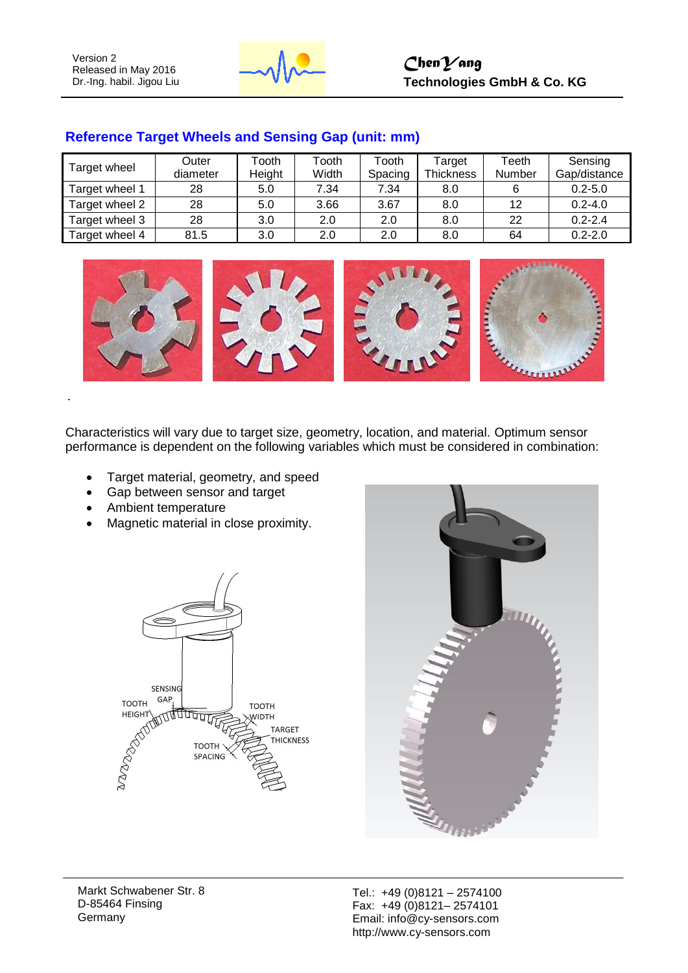

| Target wheel   | Outer    | Tooth  | Tooth | Tooth   | Target           | Teeth  | Sensing      |
|----------------|----------|--------|-------|---------|------------------|--------|--------------|
|                | diameter | Height | Width | Spacing | <b>Thickness</b> | Number | Gap/distance |
| Target wheel 1 | 28       | 5.0    | 7.34  | 7.34    | 8.0              | 6      | $0.2 - 5.0$  |
| Target wheel 2 | 28       | 5.0    | 3.66  | 3.67    | 8.0              | 12     | $0.2 - 4.0$  |
| Target wheel 3 | 28       | 3.0    | 2.0   | 2.0     | 8.0              | 22     | $0.2 - 2.4$  |
| Target wheel 4 | 81.5     | 3.0    | 2.0   | 2.0     | 8.0              | 64     | $0.2 - 2.0$  |

### **Reference Target Wheels and Sensing Gap (unit: mm)**



Characteristics will vary due to target size, geometry, location, and material. Optimum sensor performance is dependent on the following variables which must be considered in combination:

- Target material, geometry, and speed
- Gap between sensor and target
- Ambient temperature
- Magnetic material in close proximity.





Markt Schwabener Str. 8 D-85464 Finsing Germany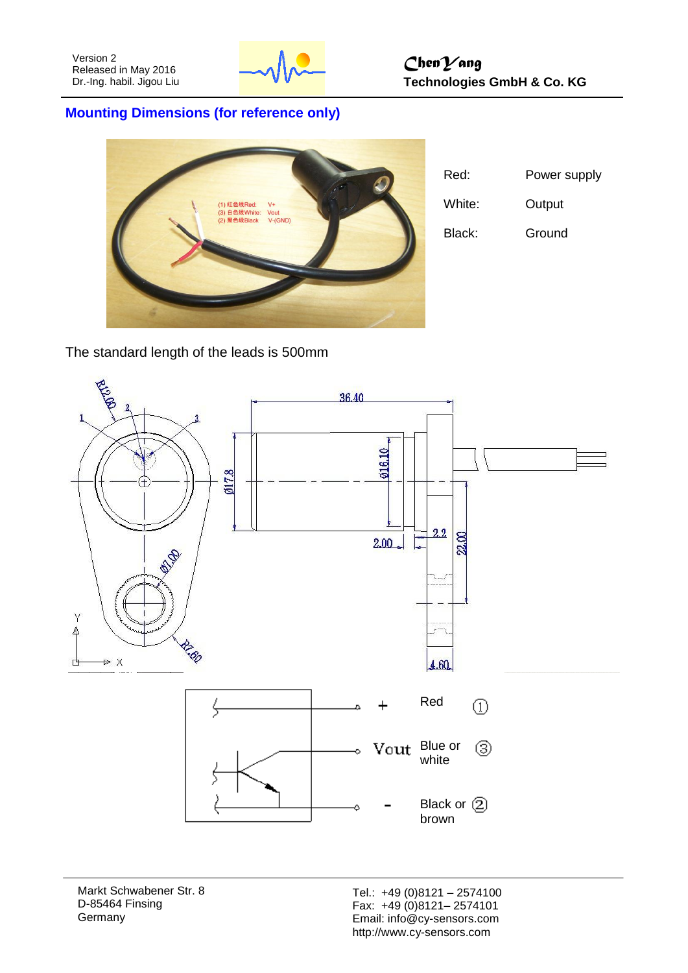

## **Mounting Dimensions (for reference only)**



| Red:   | Power supply |
|--------|--------------|
| White: | Output       |
| Black: | Ground       |

The standard length of the leads is 500mm



Markt Schwabener Str. 8 D-85464 Finsing **Germany**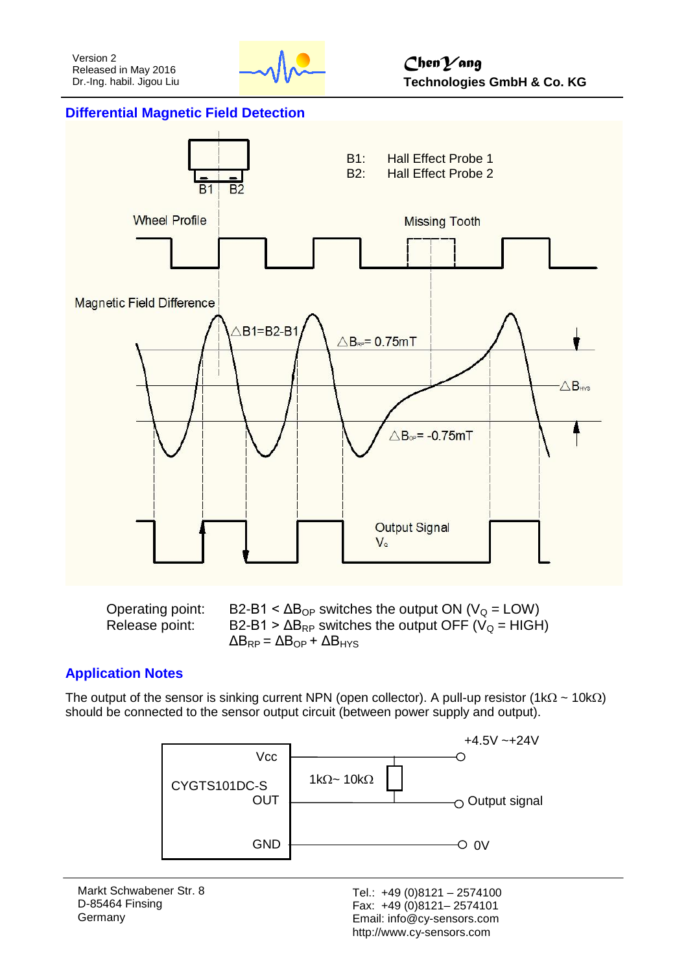

#### **Differential Magnetic Field Detection**



Operating point:  $B2-B1 < ΔB<sub>OP</sub>$  switches the output ON ( $V<sub>Q</sub> = LOW$ ) Release point:  $B2-B1 > \Delta B_{RP}$  switches the output OFF (V<sub>Q</sub> = HIGH)  $\Delta B_{RP} = \Delta B_{OP} + \Delta B_{HYS}$ 

#### **Application Notes**

The output of the sensor is sinking current NPN (open collector). A pull-up resistor (1k $\Omega$  ~ 10k $\Omega$ ) should be connected to the sensor output circuit (between power supply and output).



Markt Schwabener Str. 8 D-85464 Finsing Germany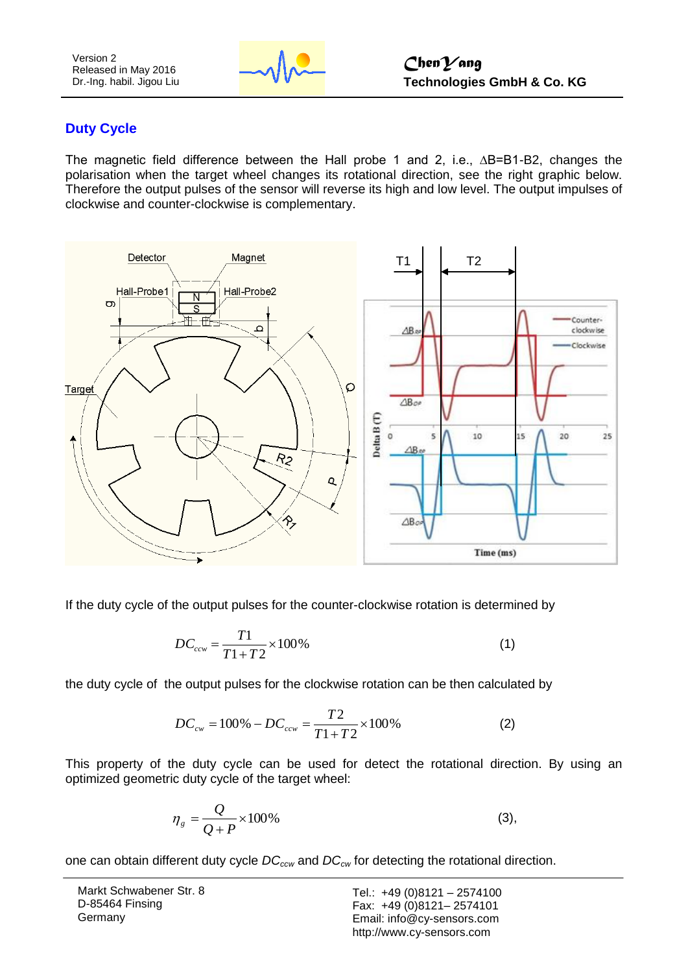Version 2 Released in May 2016 Dr.-Ing. habil. Jigou Liu



## **Duty Cycle**

The magnetic field difference between the Hall probe 1 and 2, i.e., ∆B=B1-B2, changes the polarisation when the target wheel changes its rotational direction, see the right graphic below. Therefore the output pulses of the sensor will reverse its high and low level. The output impulses of clockwise and counter-clockwise is complementary.



If the duty cycle of the output pulses for the counter-clockwise rotation is determined by

$$
DC_{ccw} = \frac{T1}{T1 + T2} \times 100\%
$$
 (1)

the duty cycle of the output pulses for the clockwise rotation can be then calculated by

$$
DC_{cw} = 100\% - DC_{ccw} = \frac{T2}{T1 + T2} \times 100\%
$$
 (2)

This property of the duty cycle can be used for detect the rotational direction. By using an optimized geometric duty cycle of the target wheel:

$$
\eta_s = \frac{Q}{Q+P} \times 100\% \tag{3}
$$

one can obtain different duty cycle *DCccw* and *DCcw* for detecting the rotational direction.

| Markt Schwabener Str. 8 |
|-------------------------|
| D-85464 Finsing         |
| Germany                 |